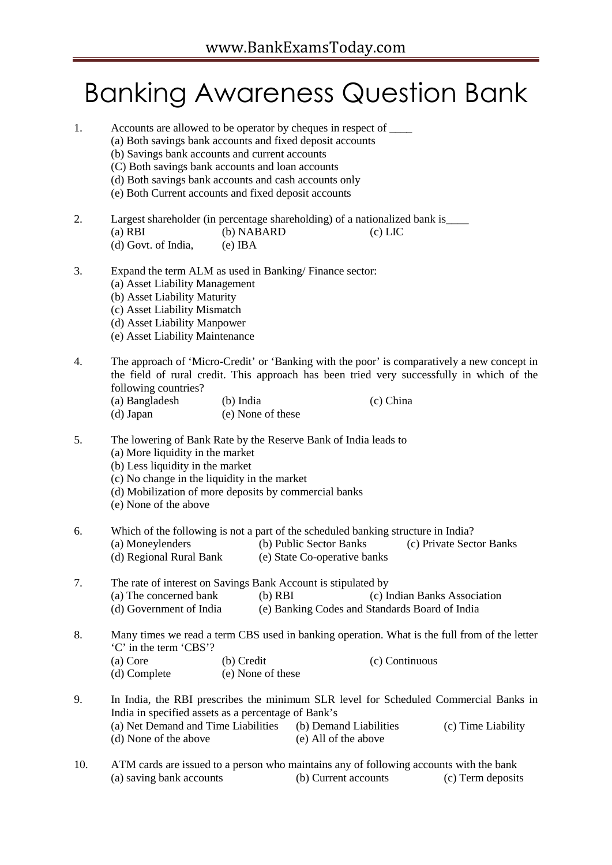## Banking Awareness Question Bank

| 1.  | Accounts are allowed to be operator by cheques in respect of _______<br>(a) Both savings bank accounts and fixed deposit accounts<br>(b) Savings bank accounts and current accounts<br>(C) Both savings bank accounts and loan accounts<br>(d) Both savings bank accounts and cash accounts only<br>(e) Both Current accounts and fixed deposit accounts |
|-----|----------------------------------------------------------------------------------------------------------------------------------------------------------------------------------------------------------------------------------------------------------------------------------------------------------------------------------------------------------|
| 2.  | Largest shareholder (in percentage shareholding) of a nationalized bank is_____<br>(b) NABARD<br>$(a)$ RBI<br>$(c)$ LIC<br>(d) Govt. of India,<br>$(e)$ IBA                                                                                                                                                                                              |
| 3.  | Expand the term ALM as used in Banking/Finance sector:<br>(a) Asset Liability Management<br>(b) Asset Liability Maturity<br>(c) Asset Liability Mismatch<br>(d) Asset Liability Manpower<br>(e) Asset Liability Maintenance                                                                                                                              |
| 4.  | The approach of 'Micro-Credit' or 'Banking with the poor' is comparatively a new concept in<br>the field of rural credit. This approach has been tried very successfully in which of the<br>following countries?<br>(a) Bangladesh<br>$(b)$ India<br>(c) China<br>(e) None of these<br>(d) Japan                                                         |
| 5.  | The lowering of Bank Rate by the Reserve Bank of India leads to<br>(a) More liquidity in the market<br>(b) Less liquidity in the market<br>(c) No change in the liquidity in the market<br>(d) Mobilization of more deposits by commercial banks<br>(e) None of the above                                                                                |
| 6.  | Which of the following is not a part of the scheduled banking structure in India?<br>(a) Moneylenders<br>(b) Public Sector Banks<br>(c) Private Sector Banks<br>(d) Regional Rural Bank<br>(e) State Co-operative banks                                                                                                                                  |
| 7.  | The rate of interest on Savings Bank Account is stipulated by<br>(a) The concerned bank<br>$(b)$ RBI<br>(c) Indian Banks Association<br>(e) Banking Codes and Standards Board of India<br>(d) Government of India                                                                                                                                        |
| 8.  | Many times we read a term CBS used in banking operation. What is the full from of the letter<br>'C' in the term 'CBS'?<br>(a) Core<br>(b) Credit<br>(c) Continuous<br>(d) Complete<br>(e) None of these                                                                                                                                                  |
| 9.  | In India, the RBI prescribes the minimum SLR level for Scheduled Commercial Banks in<br>India in specified assets as a percentage of Bank's<br>(a) Net Demand and Time Liabilities<br>(b) Demand Liabilities<br>(c) Time Liability<br>(d) None of the above<br>(e) All of the above                                                                      |
| 10. | ATM cards are issued to a person who maintains any of following accounts with the bank<br>(a) saving bank accounts<br>(b) Current accounts<br>(c) Term deposits                                                                                                                                                                                          |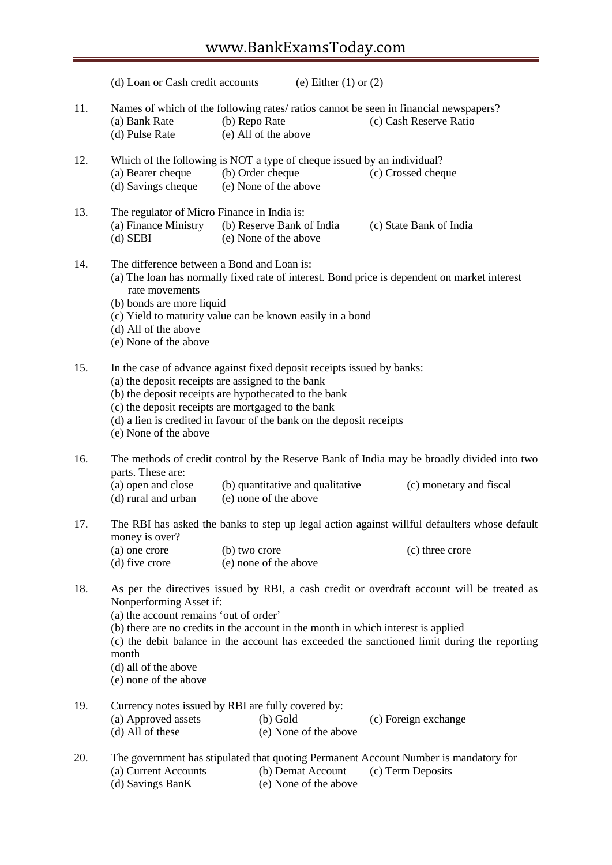|     | (d) Loan or Cash credit accounts                                                                                                           | (e) Either $(1)$ or $(2)$                                                                                                                                                                                                                                                                                          |                                                                                                                                                                                           |
|-----|--------------------------------------------------------------------------------------------------------------------------------------------|--------------------------------------------------------------------------------------------------------------------------------------------------------------------------------------------------------------------------------------------------------------------------------------------------------------------|-------------------------------------------------------------------------------------------------------------------------------------------------------------------------------------------|
| 11. | (a) Bank Rate<br>(d) Pulse Rate                                                                                                            | Names of which of the following rates/ ratios cannot be seen in financial newspapers?<br>(b) Repo Rate<br>(e) All of the above                                                                                                                                                                                     | (c) Cash Reserve Ratio                                                                                                                                                                    |
| 12. | (a) Bearer cheque<br>(d) Savings cheque                                                                                                    | Which of the following is NOT a type of cheque issued by an individual?<br>(b) Order cheque<br>(e) None of the above                                                                                                                                                                                               | (c) Crossed cheque                                                                                                                                                                        |
| 13. | The regulator of Micro Finance in India is:<br>(a) Finance Ministry<br>$(d)$ SEBI                                                          | (b) Reserve Bank of India<br>(e) None of the above                                                                                                                                                                                                                                                                 | (c) State Bank of India                                                                                                                                                                   |
| 14. | The difference between a Bond and Loan is:<br>rate movements<br>(b) bonds are more liquid<br>(d) All of the above<br>(e) None of the above | (c) Yield to maturity value can be known easily in a bond                                                                                                                                                                                                                                                          | (a) The loan has normally fixed rate of interest. Bond price is dependent on market interest                                                                                              |
| 15. | (e) None of the above                                                                                                                      | In the case of advance against fixed deposit receipts issued by banks:<br>(a) the deposit receipts are assigned to the bank<br>(b) the deposit receipts are hypothecated to the bank<br>(c) the deposit receipts are mortgaged to the bank<br>(d) a lien is credited in favour of the bank on the deposit receipts |                                                                                                                                                                                           |
| 16. | parts. These are:<br>(a) open and close<br>(d) rural and urban                                                                             | (b) quantitative and qualitative<br>(e) none of the above                                                                                                                                                                                                                                                          | The methods of credit control by the Reserve Bank of India may be broadly divided into two<br>(c) monetary and fiscal                                                                     |
| 17. | money is over?                                                                                                                             |                                                                                                                                                                                                                                                                                                                    | The RBI has asked the banks to step up legal action against willful defaulters whose default                                                                                              |
|     | (a) one crore<br>(d) five crore                                                                                                            | (b) two crore<br>(e) none of the above                                                                                                                                                                                                                                                                             | (c) three crore                                                                                                                                                                           |
| 18. | Nonperforming Asset if:<br>(a) the account remains 'out of order'<br>month<br>(d) all of the above<br>(e) none of the above                | (b) there are no credits in the account in the month in which interest is applied                                                                                                                                                                                                                                  | As per the directives issued by RBI, a cash credit or overdraft account will be treated as<br>(c) the debit balance in the account has exceeded the sanctioned limit during the reporting |
| 19. | (a) Approved assets<br>(d) All of these                                                                                                    | Currency notes issued by RBI are fully covered by:<br>$(b)$ Gold<br>(e) None of the above                                                                                                                                                                                                                          | (c) Foreign exchange                                                                                                                                                                      |
| 20. | (a) Current Accounts<br>(d) Savings BanK                                                                                                   | (b) Demat Account<br>(e) None of the above                                                                                                                                                                                                                                                                         | The government has stipulated that quoting Permanent Account Number is mandatory for<br>(c) Term Deposits                                                                                 |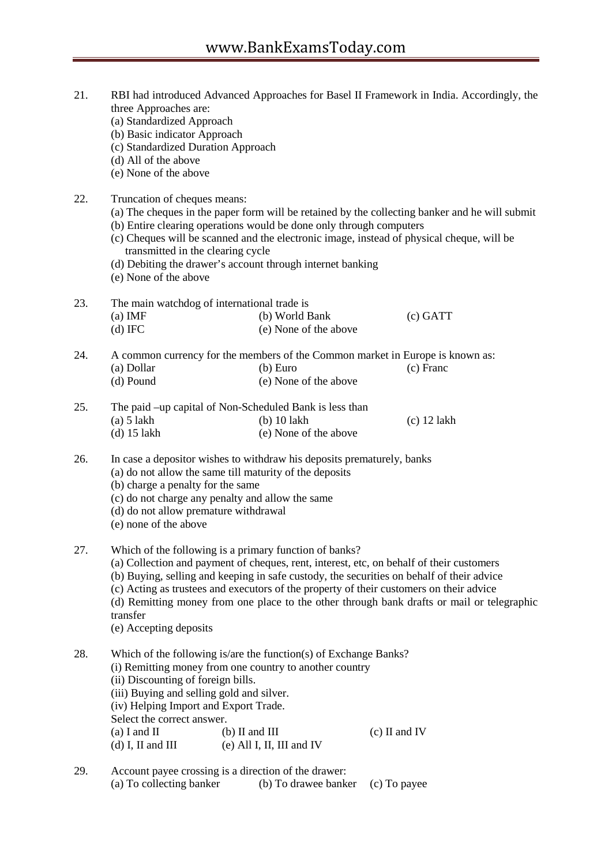| 21. | three Approaches are:<br>(a) Standardized Approach<br>(b) Basic indicator Approach<br>(c) Standardized Duration Approach<br>(d) All of the above<br>(e) None of the above                                                                                                                                                                                                                            |                                                                                                                                                                                                                                                                                                                                            | RBI had introduced Advanced Approaches for Basel II Framework in India. Accordingly, the                                                                                                    |
|-----|------------------------------------------------------------------------------------------------------------------------------------------------------------------------------------------------------------------------------------------------------------------------------------------------------------------------------------------------------------------------------------------------------|--------------------------------------------------------------------------------------------------------------------------------------------------------------------------------------------------------------------------------------------------------------------------------------------------------------------------------------------|---------------------------------------------------------------------------------------------------------------------------------------------------------------------------------------------|
| 22. | Truncation of cheques means:<br>transmitted in the clearing cycle<br>(e) None of the above                                                                                                                                                                                                                                                                                                           | (b) Entire clearing operations would be done only through computers<br>(d) Debiting the drawer's account through internet banking                                                                                                                                                                                                          | (a) The cheques in the paper form will be retained by the collecting banker and he will submit<br>(c) Cheques will be scanned and the electronic image, instead of physical cheque, will be |
| 23. | The main watchdog of international trade is<br>$(a)$ IMF<br>$(d)$ IFC                                                                                                                                                                                                                                                                                                                                | (b) World Bank<br>(e) None of the above                                                                                                                                                                                                                                                                                                    | $(c)$ GATT                                                                                                                                                                                  |
| 24. | (a) Dollar<br>(d) Pound                                                                                                                                                                                                                                                                                                                                                                              | A common currency for the members of the Common market in Europe is known as:<br>(b) Euro<br>(e) None of the above                                                                                                                                                                                                                         | (c) Franc                                                                                                                                                                                   |
| 25. | $(a)$ 5 lakh<br>$(d)$ 15 lakh                                                                                                                                                                                                                                                                                                                                                                        | The paid –up capital of Non-Scheduled Bank is less than<br>$(b)$ 10 lakh<br>(e) None of the above                                                                                                                                                                                                                                          | $(c)$ 12 lakh                                                                                                                                                                               |
| 26. | (b) charge a penalty for the same<br>(d) do not allow premature withdrawal<br>(e) none of the above                                                                                                                                                                                                                                                                                                  | In case a depositor wishes to withdraw his deposits prematurely, banks<br>(a) do not allow the same till maturity of the deposits<br>(c) do not charge any penalty and allow the same                                                                                                                                                      |                                                                                                                                                                                             |
| 27. | transfer<br>(e) Accepting deposits                                                                                                                                                                                                                                                                                                                                                                   | Which of the following is a primary function of banks?<br>(a) Collection and payment of cheques, rent, interest, etc, on behalf of their customers<br>(b) Buying, selling and keeping in safe custody, the securities on behalf of their advice<br>(c) Acting as trustees and executors of the property of their customers on their advice | (d) Remitting money from one place to the other through bank drafts or mail or telegraphic                                                                                                  |
| 28. | Which of the following is/are the function(s) of Exchange Banks?<br>(i) Remitting money from one country to another country<br>(ii) Discounting of foreign bills.<br>(iii) Buying and selling gold and silver.<br>(iv) Helping Import and Export Trade.<br>Select the correct answer.<br>$(a)$ I and II<br>$(b)$ II and III<br>$(c)$ II and IV<br>$(d)$ I, II and III<br>$(e)$ All I, II, III and IV |                                                                                                                                                                                                                                                                                                                                            |                                                                                                                                                                                             |
| 29. | (a) To collecting banker                                                                                                                                                                                                                                                                                                                                                                             | Account payee crossing is a direction of the drawer:<br>(b) To drawee banker                                                                                                                                                                                                                                                               | (c) To payee                                                                                                                                                                                |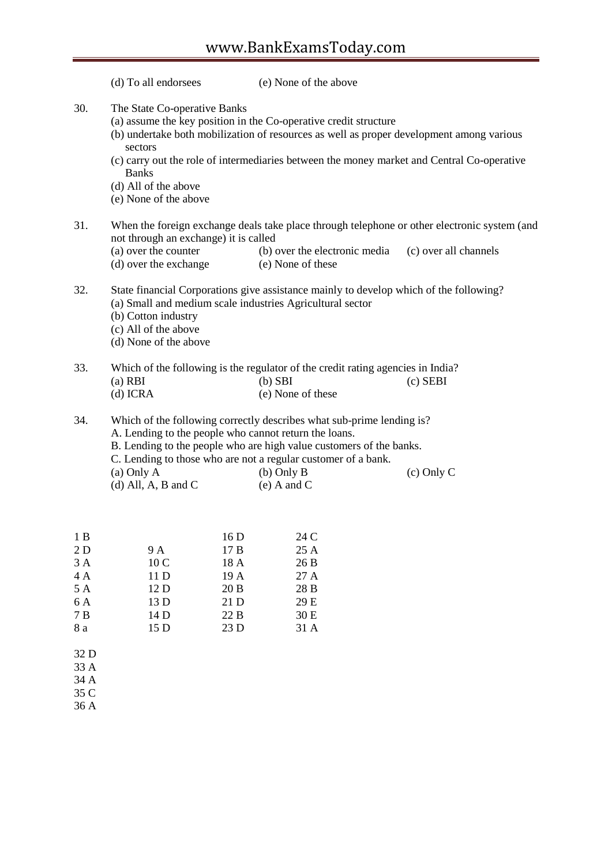|                                                  | (d) To all endorsees                                                                                     |                                                                       | (e) None of the above                                                                                                                                                                                                                                      |                                                                                                                       |
|--------------------------------------------------|----------------------------------------------------------------------------------------------------------|-----------------------------------------------------------------------|------------------------------------------------------------------------------------------------------------------------------------------------------------------------------------------------------------------------------------------------------------|-----------------------------------------------------------------------------------------------------------------------|
| 30.                                              | The State Co-operative Banks<br>sectors<br><b>Banks</b><br>(d) All of the above<br>(e) None of the above |                                                                       | (a) assume the key position in the Co-operative credit structure<br>(b) undertake both mobilization of resources as well as proper development among various<br>(c) carry out the role of intermediaries between the money market and Central Co-operative |                                                                                                                       |
| 31.                                              | not through an exchange) it is called<br>(a) over the counter<br>(d) over the exchange                   |                                                                       | (b) over the electronic media<br>(e) None of these                                                                                                                                                                                                         | When the foreign exchange deals take place through telephone or other electronic system (and<br>(c) over all channels |
| 32.                                              | (b) Cotton industry<br>(c) All of the above<br>(d) None of the above                                     |                                                                       | State financial Corporations give assistance mainly to develop which of the following?<br>(a) Small and medium scale industries Agricultural sector                                                                                                        |                                                                                                                       |
| 33.                                              | $(a)$ RBI<br>$(d)$ ICRA                                                                                  |                                                                       | Which of the following is the regulator of the credit rating agencies in India?<br>$(b)$ SBI<br>(e) None of these                                                                                                                                          | $(c)$ SEBI                                                                                                            |
| 34.                                              | A. Lending to the people who cannot return the loans.<br>(a) Only A<br>(d) All, A, B and C               |                                                                       | Which of the following correctly describes what sub-prime lending is?<br>B. Lending to the people who are high value customers of the banks.<br>C. Lending to those who are not a regular customer of a bank.<br>$(b)$ Only B<br>$(e)$ A and C             | $(c)$ Only C                                                                                                          |
| 1B<br>2D<br>3A<br>4 A<br>5 A<br>6 A<br>7B<br>8 a | 9 A<br>10 <sub>C</sub><br>11 D<br>12 D<br>13 D<br>14 D<br>15 D                                           | 16 <sub>D</sub><br>17B<br>18 A<br>19 A<br>20B<br>21 D<br>22 B<br>23 D | 24 C<br>25 A<br>26 B<br>27 A<br>28 B<br>29 E<br>30 E<br>31 A                                                                                                                                                                                               |                                                                                                                       |

32 D 33 A 34 A

35 C 36 A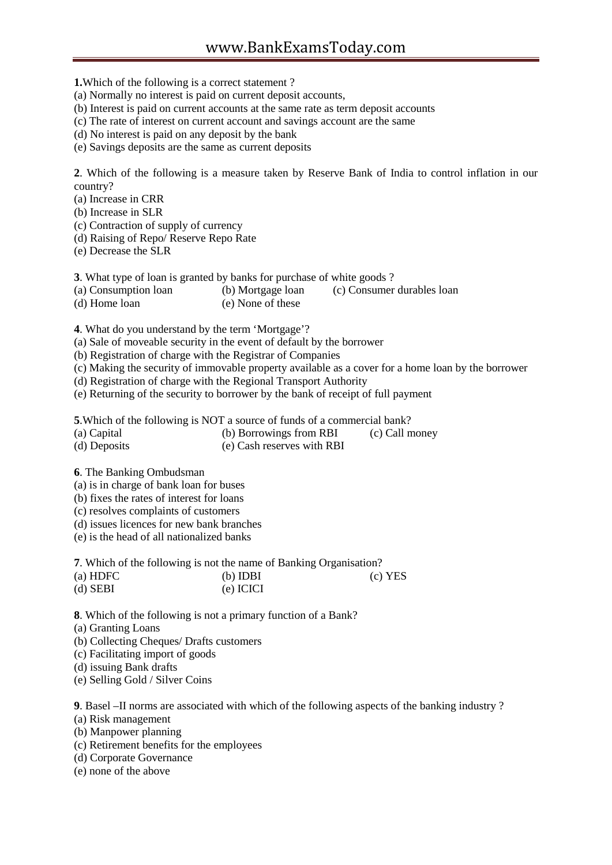**1.**Which of the following is a correct statement ?

- (a) Normally no interest is paid on current deposit accounts,
- (b) Interest is paid on current accounts at the same rate as term deposit accounts
- (c) The rate of interest on current account and savings account are the same
- (d) No interest is paid on any deposit by the bank
- (e) Savings deposits are the same as current deposits

**2**. Which of the following is a measure taken by Reserve Bank of India to control inflation in our country?

- (a) Increase in CRR
- (b) Increase in SLR
- (c) Contraction of supply of currency
- (d) Raising of Repo/ Reserve Repo Rate
- (e) Decrease the SLR

**3**. What type of loan is granted by banks for purchase of white goods ?

- (a) Consumption loan (b) Mortgage loan (c) Consumer durables loan
- (d) Home loan (e) None of these

**4**. What do you understand by the term 'Mortgage'?

- (a) Sale of moveable security in the event of default by the borrower
- (b) Registration of charge with the Registrar of Companies
- (c) Making the security of immovable property available as a cover for a home loan by the borrower
- (d) Registration of charge with the Regional Transport Authority
- (e) Returning of the security to borrower by the bank of receipt of full payment

**5**.Which of the following is NOT a source of funds of a commercial bank?

- (a) Capital (b) Borrowings from RBI (c) Call money<br>
(d) Deposits (e) Cash reserves with RBI
- 
- $(e)$  Cash reserves with RBI

**6**. The Banking Ombudsman

- (a) is in charge of bank loan for buses
- (b) fixes the rates of interest for loans
- (c) resolves complaints of customers
- (d) issues licences for new bank branches
- (e) is the head of all nationalized banks

**7**. Which of the following is not the name of Banking Organisation?

| $(a)$ HDFC | $(b)$ IDBI | $(c)$ YES |
|------------|------------|-----------|
| $(d)$ SEBI | (e) ICICI  |           |

**8**. Which of the following is not a primary function of a Bank?

(a) Granting Loans

- (b) Collecting Cheques/ Drafts customers
- (c) Facilitating import of goods
- (d) issuing Bank drafts
- (e) Selling Gold / Silver Coins

**9**. Basel –II norms are associated with which of the following aspects of the banking industry ? (a) Risk management

- (b) Manpower planning
- (c) Retirement benefits for the employees
- (d) Corporate Governance
- (e) none of the above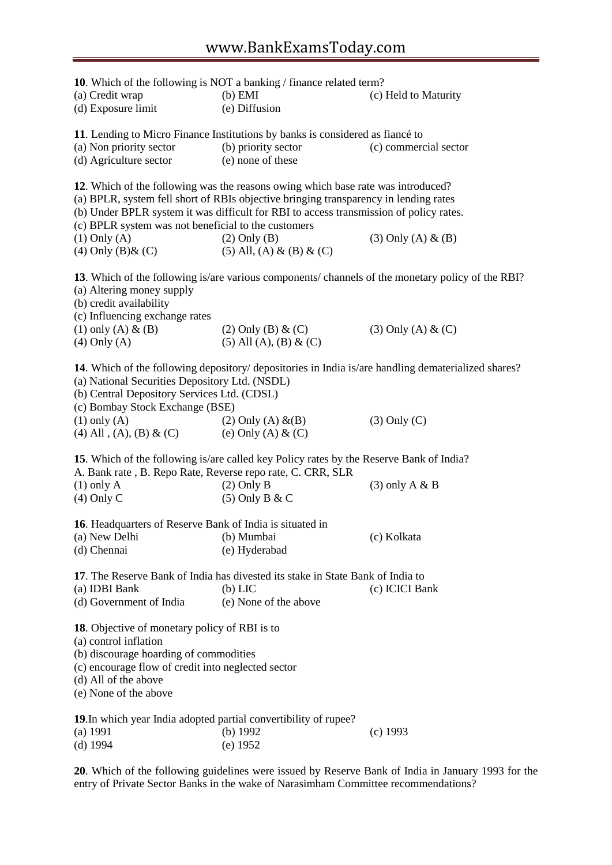**10**. Which of the following is NOT a banking / finance related term? (a) Credit wrap (b) EMI (c) Held to Maturity (d) Exposure limit (e) Diffusion **11**. Lending to Micro Finance Institutions by banks is considered as fiancé to (a) Non priority sector (b) priority sector (c) commercial sector (d) Agriculture sector (e) none of these **12**. Which of the following was the reasons owing which base rate was introduced? (a) BPLR, system fell short of RBIs objective bringing transparency in lending rates (b) Under BPLR system it was difficult for RBI to access transmission of policy rates. (c) BPLR system was not beneficial to the customers (1) Only (A) (2) Only (B) (3) Only (A)  $\&$  (B) (4) Only (B)  $\& (C)$  (5) All, (A)  $\& (B) \& (C)$ **13**. Which of the following is/are various components/ channels of the monetary policy of the RBI? (a) Altering money supply (b) credit availability (c) Influencing exchange rates (1) only (A)  $\&$  (B) (2) Only (B)  $\&$  (C) (3) Only (A)  $\&$  (C) (4) Only (A) (5) All (A), (B)  $\&$  (C) **14**. Which of the following depository/ depositories in India is/are handling dematerialized shares? (a) National Securities Depository Ltd. (NSDL) (b) Central Depository Services Ltd. (CDSL) (c) Bombay Stock Exchange (BSE) (1) only (A) (2) Only (A)  $\&$  (B) (3) Only (C) (4) All , (A), (B) & (C) (e) Only (A) & (C) **15**. Which of the following is/are called key Policy rates by the Reserve Bank of India? A. Bank rate , B. Repo Rate, Reverse repo rate, C. CRR, SLR (1) only A (2) Only B (3) only A & B (4) Only C (5) Only B & C **16**. Headquarters of Reserve Bank of India is situated in (a) New Delhi (b) Mumbai (c) Kolkata (d) Chennai (e) Hyderabad **17**. The Reserve Bank of India has divested its stake in State Bank of India to (a) IDBI Bank (b) LIC (c) ICICI Bank (d) Government of India (e) None of the above **18**. Objective of monetary policy of RBI is to (a) control inflation (b) discourage hoarding of commodities (c) encourage flow of credit into neglected sector (d) All of the above (e) None of the above **19**.In which year India adopted partial convertibility of rupee? (a) 1991 (b) 1992 (c) 1993 (d) 1994 (e) 1952

**20**. Which of the following guidelines were issued by Reserve Bank of India in January 1993 for the entry of Private Sector Banks in the wake of Narasimham Committee recommendations?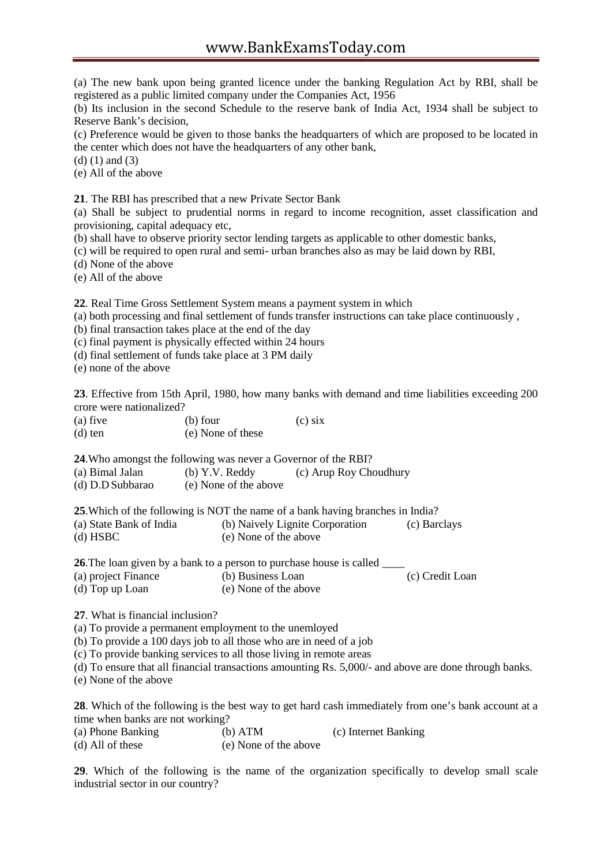(a) The new bank upon being granted licence under the banking Regulation Act by RBI, shall be registered as a public limited company under the Companies Act, 1956

(b) Its inclusion in the second Schedule to the reserve bank of India Act, 1934 shall be subject to Reserve Bank's decision,

(c) Preference would be given to those banks the headquarters of which are proposed to be located in the center which does not have the headquarters of any other bank,

(d) (1) and (3)

(e) All of the above

**21**. The RBI has prescribed that a new Private Sector Bank

(a) Shall be subject to prudential norms in regard to income recognition, asset classification and provisioning, capital adequacy etc,

(b) shall have to observe priority sector lending targets as applicable to other domestic banks,

(c) will be required to open rural and semi- urban branches also as may be laid down by RBI,

(d) None of the above

(e) All of the above

**22**. Real Time Gross Settlement System means a payment system in which

(a) both processing and final settlement of funds transfer instructions can take place continuously ,

(b) final transaction takes place at the end of the day

(c) final payment is physically effected within 24 hours

(d) final settlement of funds take place at 3 PM daily

(e) none of the above

**23**. Effective from 15th April, 1980, how many banks with demand and time liabilities exceeding 200 crore were nationalized?

| $(a)$ five | (b) four          | $(c)$ six |
|------------|-------------------|-----------|
| $(d)$ ten  | (e) None of these |           |

**24**.Who amongst the following was never a Governor of the RBI?

| (a) Bimal Jalan         | $(b)$ Y.V. Reddy                                                               | (c) Arup Roy Choudhury          |              |
|-------------------------|--------------------------------------------------------------------------------|---------------------------------|--------------|
| (d) D.D Subbarao        | (e) None of the above                                                          |                                 |              |
|                         | 25. Which of the following is NOT the name of a bank having branches in India? |                                 |              |
| (a) State Bank of India |                                                                                | (b) Naively Lignite Corporation | (c) Barclays |
| $(d)$ HSBC              | (e) None of the above                                                          |                                 |              |
|                         | 26 The loan given by a bank to a person to purchase house is called            |                                 |              |

**26**.The loan given by a bank to a person to purchase house is called

(a) project Finance (b) Business Loan (c) Credit Loan (d) Top up Loan (e) None of the above

**27**. What is financial inclusion?

(a) To provide a permanent employment to the unemloyed

(b) To provide a 100 days job to all those who are in need of a job

(c) To provide banking services to all those living in remote areas

(d) To ensure that all financial transactions amounting Rs. 5,000/- and above are done through banks.

(e) None of the above

**28**. Which of the following is the best way to get hard cash immediately from one's bank account at a time when banks are not working?

| (a) Phone Banking  | $(b)$ ATM             | (c) Internet Banking |
|--------------------|-----------------------|----------------------|
| $(d)$ All of these | (e) None of the above |                      |

**29**. Which of the following is the name of the organization specifically to develop small scale industrial sector in our country?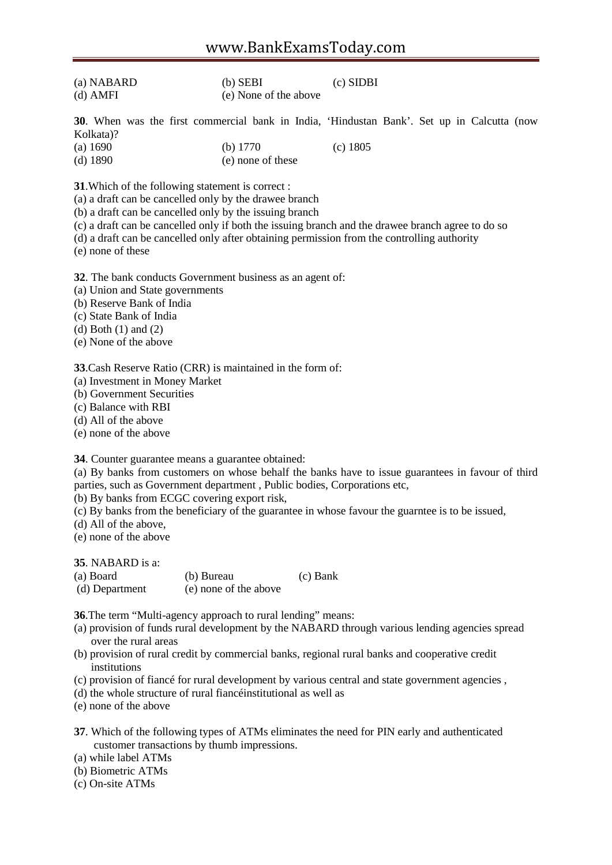| (a) NABARD | $(b)$ SEBI            | $(c)$ SIDBI |
|------------|-----------------------|-------------|
| $(d)$ AMFI | (e) None of the above |             |

**30**. When was the first commercial bank in India, 'Hindustan Bank'. Set up in Calcutta (now Kolkata)?

| (a) 1690   | (b) $1770$        | $(c)$ 1805 |
|------------|-------------------|------------|
| $(d)$ 1890 | (e) none of these |            |

**31**.Which of the following statement is correct :

(a) a draft can be cancelled only by the drawee branch

(b) a draft can be cancelled only by the issuing branch

(c) a draft can be cancelled only if both the issuing branch and the drawee branch agree to do so

(d) a draft can be cancelled only after obtaining permission from the controlling authority

(e) none of these

**32**. The bank conducts Government business as an agent of:

(a) Union and State governments

(b) Reserve Bank of India

(c) State Bank of India

(d) Both (1) and (2)

(e) None of the above

**33**.Cash Reserve Ratio (CRR) is maintained in the form of:

(a) Investment in Money Market

(b) Government Securities

(c) Balance with RBI

(d) All of the above

(e) none of the above

**34**. Counter guarantee means a guarantee obtained:

(a) By banks from customers on whose behalf the banks have to issue guarantees in favour of third parties, such as Government department , Public bodies, Corporations etc,

(b) By banks from ECGC covering export risk,

(c) By banks from the beneficiary of the guarantee in whose favour the guarntee is to be issued,

(d) All of the above,

(e) none of the above

**35**. NABARD is a:

| (a) Board      | (b) Bureau            | (c) Bank |
|----------------|-----------------------|----------|
| (d) Department | (e) none of the above |          |

**36**.The term "Multi-agency approach to rural lending" means:

- (a) provision of funds rural development by the NABARD through various lending agencies spread over the rural areas
- (b) provision of rural credit by commercial banks, regional rural banks and cooperative credit institutions
- (c) provision of fiancé for rural development by various central and state government agencies ,
- (d) the whole structure of rural fiancéinstitutional as well as

(e) none of the above

**37**. Which of the following types of ATMs eliminates the need for PIN early and authenticated customer transactions by thumb impressions.

(a) while label ATMs

- (b) Biometric ATMs
- (c) On-site ATMs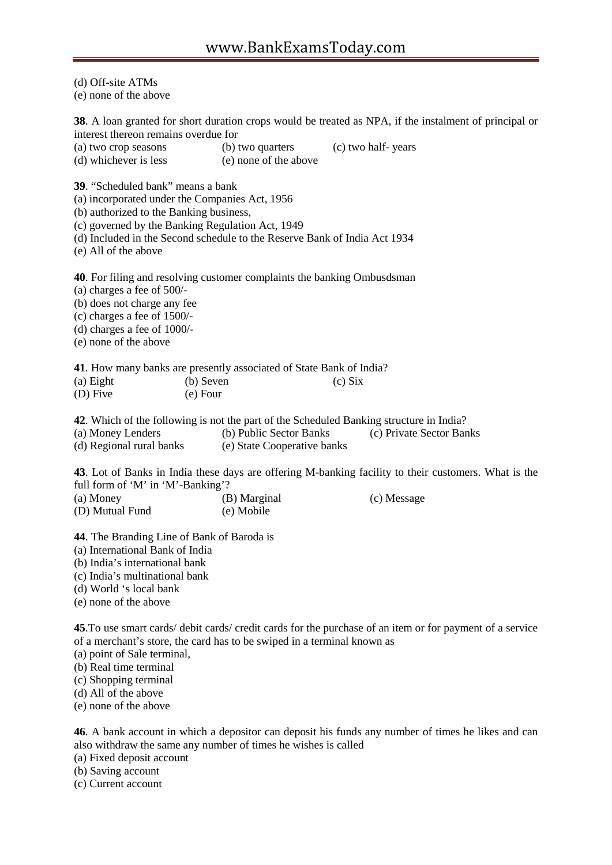(d) Off-site ATMs

(e) none of the above

**38**. A loan granted for short duration crops would be treated as NPA, if the instalment of principal or interest thereon remains overdue for

- (a) two crop seasons (b) two quarters (c) two half- years
- (d) whichever is less (e) none of the above

**39**. "Scheduled bank" means a bank

(a) incorporated under the Companies Act, 1956

(b) authorized to the Banking business,

(c) governed by the Banking Regulation Act, 1949

(d) Included in the Second schedule to the Reserve Bank of India Act 1934

(e) All of the above

**40**. For filing and resolving customer complaints the banking Ombusdsman

(a) charges a fee of 500/-

(b) does not charge any fee

(c) charges a fee of 1500/-

(d) charges a fee of 1000/-

(e) none of the above

**41**. How many banks are presently associated of State Bank of India?

| (a) Eight | (b) Seven | $(c)$ Six |
|-----------|-----------|-----------|
| (D) Five  | (e) Four  |           |

**42**. Which of the following is not the part of the Scheduled Banking structure in India?

(a) Money Lenders (b) Public Sector Banks (c) Private Sector Banks (d) Regional rural banks (e) State Cooperative banks

(e) State Cooperative banks

**43**. Lot of Banks in India these days are offering M-banking facility to their customers. What is the full form of 'M' in 'M'-Banking'? (c) Message

| (a) Money       | (B) Marginal |  |  |
|-----------------|--------------|--|--|
| (D) Mutual Fund | (e) Mobile   |  |  |

**44**. The Branding Line of Bank of Baroda is

(a) International Bank of India

(b) India's international bank

(c) India's multinational bank

(d) World 's local bank

(e) none of the above

**45**.To use smart cards/ debit cards/ credit cards for the purchase of an item or for payment of a service of a merchant's store, the card has to be swiped in a terminal known as

(a) point of Sale terminal,

(b) Real time terminal

(c) Shopping terminal

(d) All of the above

(e) none of the above

**46**. A bank account in which a depositor can deposit his funds any number of times he likes and can also withdraw the same any number of times he wishes is called

(a) Fixed deposit account

(b) Saving account

(c) Current account